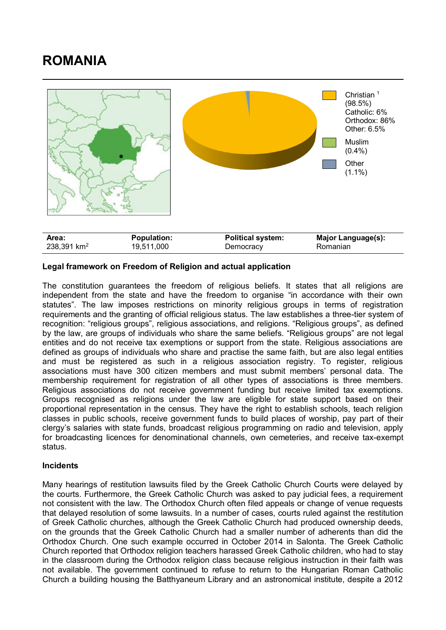## **ROMANIA**



| Area:                   | <b>Population:</b> | <b>Political system:</b> | <b>Major Language(s):</b> |
|-------------------------|--------------------|--------------------------|---------------------------|
| 238,391 km <sup>2</sup> | 19,511,000         | Democracy                | Romanian                  |

## **Legal framework on Freedom of Religion and actual application**

The constitution guarantees the freedom of religious beliefs. It states that all religions are independent from the state and have the freedom to organise "in accordance with their own statutes". The law imposes restrictions on minority religious groups in terms of registration requirements and the granting of official religious status. The law establishes a three-tier system of recognition: "religious groups", religious associations, and religions. "Religious groups", as defined by the law, are groups of individuals who share the same beliefs. "Religious groups" are not legal entities and do not receive tax exemptions or support from the state. Religious associations are defined as groups of individuals who share and practise the same faith, but are also legal entities and must be registered as such in a religious association registry. To register, religious associations must have 300 citizen members and must submit members' personal data. The membership requirement for registration of all other types of associations is three members. Religious associations do not receive government funding but receive limited tax exemptions. Groups recognised as religions under the law are eligible for state support based on their proportional representation in the census. They have the right to establish schools, teach religion classes in public schools, receive government funds to build places of worship, pay part of their clergy's salaries with state funds, broadcast religious programming on radio and television, apply for broadcasting licences for denominational channels, own cemeteries, and receive tax-exempt status.

## **Incidents**

Many hearings of restitution lawsuits filed by the Greek Catholic Church Courts were delayed by the courts. Furthermore, the Greek Catholic Church was asked to pay judicial fees, a requirement not consistent with the law. The Orthodox Church often filed appeals or change of venue requests that delayed resolution of some lawsuits. In a number of cases, courts ruled against the restitution of Greek Catholic churches, although the Greek Catholic Church had produced ownership deeds, on the grounds that the Greek Catholic Church had a smaller number of adherents than did the Orthodox Church. One such example occurred in October 2014 in Salonta. The Greek Catholic Church reported that Orthodox religion teachers harassed Greek Catholic children, who had to stay in the classroom during the Orthodox religion class because religious instruction in their faith was not available. The government continued to refuse to return to the Hungarian Roman Catholic Church a building housing the Batthyaneum Library and an astronomical institute, despite a 2012